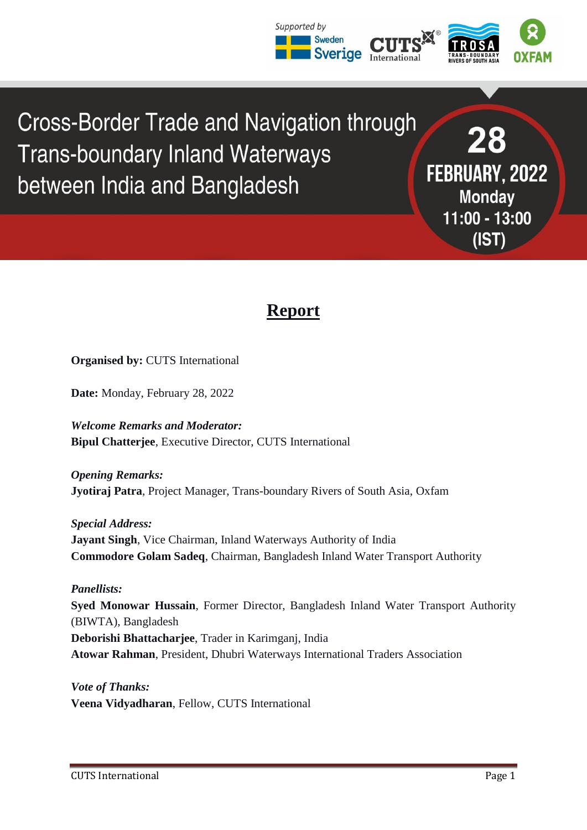

28

FEBRUARY, 2022

**Monday** 

11:00 - 13:00

 $(IST)$ 

**Cross-Border Trade and Navigation through Trans-boundary Inland Waterways** between India and Bangladesh

**Report** 

**Organised by:** CUTS International

**Date:** Monday, February 28, 2022

*Welcome Remarks and Moderator:* **Bipul Chatterjee**, Executive Director, CUTS International

*Opening Remarks:* **Jyotiraj Patra**, Project Manager, Trans-boundary Rivers of South Asia, Oxfam

*Special Address:* **Jayant Singh**, Vice Chairman, Inland Waterways Authority of India **Commodore Golam Sadeq**, Chairman, Bangladesh Inland Water Transport Authority

*Panellists:* **Syed Monowar Hussain**, Former Director, Bangladesh Inland Water Transport Authority (BIWTA), Bangladesh **Deborishi Bhattacharjee**, Trader in Karimganj, India **Atowar Rahman**, President, Dhubri Waterways International Traders Association

*Vote of Thanks:* **Veena Vidyadharan**, Fellow, CUTS International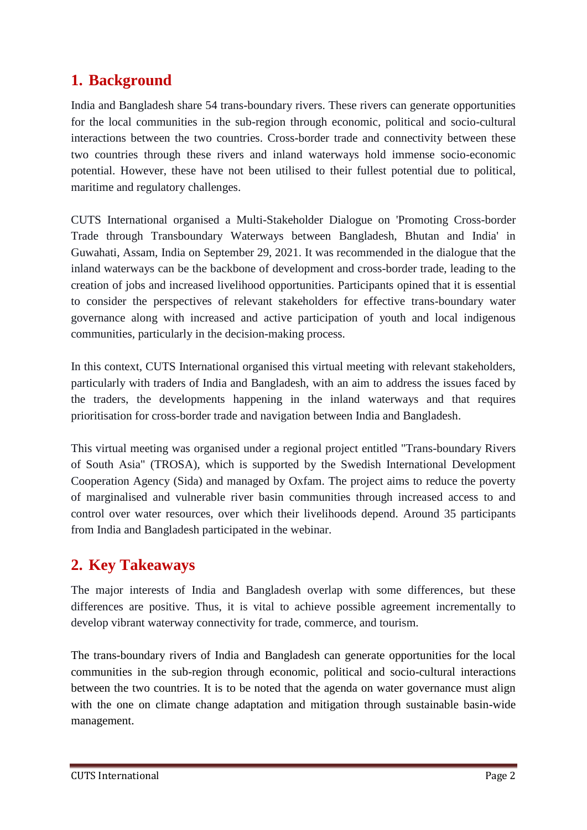### **1. Background**

India and Bangladesh share 54 trans-boundary rivers. These rivers can generate opportunities for the local communities in the sub-region through economic, political and socio-cultural interactions between the two countries. Cross-border trade and connectivity between these two countries through these rivers and inland waterways hold immense socio-economic potential. However, these have not been utilised to their fullest potential due to political, maritime and regulatory challenges.

CUTS International organised a Multi-Stakeholder Dialogue on 'Promoting Cross-border Trade through Transboundary Waterways between Bangladesh, Bhutan and India' in Guwahati, Assam, India on September 29, 2021. It was recommended in the dialogue that the inland waterways can be the backbone of development and cross-border trade, leading to the creation of jobs and increased livelihood opportunities. Participants opined that it is essential to consider the perspectives of relevant stakeholders for effective trans-boundary water governance along with increased and active participation of youth and local indigenous communities, particularly in the decision-making process.

In this context, CUTS International organised this virtual meeting with relevant stakeholders, particularly with traders of India and Bangladesh, with an aim to address the issues faced by the traders, the developments happening in the inland waterways and that requires prioritisation for cross-border trade and navigation between India and Bangladesh.

This virtual meeting was organised under a regional project entitled "Trans-boundary Rivers of South Asia" (TROSA), which is supported by the Swedish International Development Cooperation Agency (Sida) and managed by Oxfam. The project aims to reduce the poverty of marginalised and vulnerable river basin communities through increased access to and control over water resources, over which their livelihoods depend. Around 35 participants from India and Bangladesh participated in the webinar.

### **2. Key Takeaways**

The major interests of India and Bangladesh overlap with some differences, but these differences are positive. Thus, it is vital to achieve possible agreement incrementally to develop vibrant waterway connectivity for trade, commerce, and tourism.

The trans-boundary rivers of India and Bangladesh can generate opportunities for the local communities in the sub-region through economic, political and socio-cultural interactions between the two countries. It is to be noted that the agenda on water governance must align with the one on climate change adaptation and mitigation through sustainable basin-wide management.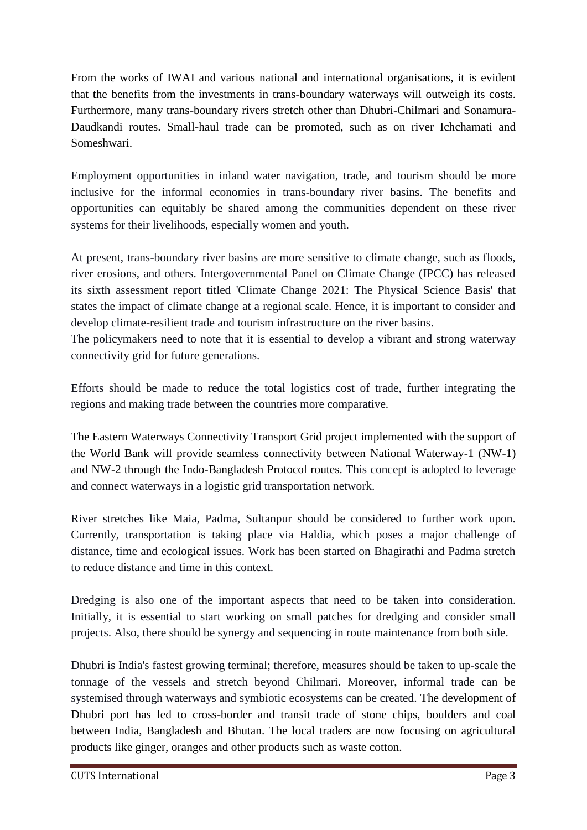From the works of IWAI and various national and international organisations, it is evident that the benefits from the investments in trans-boundary waterways will outweigh its costs. Furthermore, many trans-boundary rivers stretch other than Dhubri-Chilmari and Sonamura-Daudkandi routes. Small-haul trade can be promoted, such as on river Ichchamati and Someshwari.

Employment opportunities in inland water navigation, trade, and tourism should be more inclusive for the informal economies in trans-boundary river basins. The benefits and opportunities can equitably be shared among the communities dependent on these river systems for their livelihoods, especially women and youth.

At present, trans-boundary river basins are more sensitive to climate change, such as floods, river erosions, and others. Intergovernmental Panel on Climate Change (IPCC) has released its sixth assessment report titled 'Climate Change 2021: The Physical Science Basis' that states the impact of climate change at a regional scale. Hence, it is important to consider and develop climate-resilient trade and tourism infrastructure on the river basins.

The policymakers need to note that it is essential to develop a vibrant and strong waterway connectivity grid for future generations.

Efforts should be made to reduce the total logistics cost of trade, further integrating the regions and making trade between the countries more comparative.

The Eastern Waterways Connectivity Transport Grid project implemented with the support of the World Bank will provide seamless connectivity between National Waterway-1 (NW-1) and NW-2 through the Indo-Bangladesh Protocol routes. This concept is adopted to leverage and connect waterways in a logistic grid transportation network.

River stretches like Maia, Padma, Sultanpur should be considered to further work upon. Currently, transportation is taking place via Haldia, which poses a major challenge of distance, time and ecological issues. Work has been started on Bhagirathi and Padma stretch to reduce distance and time in this context.

Dredging is also one of the important aspects that need to be taken into consideration. Initially, it is essential to start working on small patches for dredging and consider small projects. Also, there should be synergy and sequencing in route maintenance from both side.

Dhubri is India's fastest growing terminal; therefore, measures should be taken to up-scale the tonnage of the vessels and stretch beyond Chilmari. Moreover, informal trade can be systemised through waterways and symbiotic ecosystems can be created. The development of Dhubri port has led to cross-border and transit trade of stone chips, boulders and coal between India, Bangladesh and Bhutan. The local traders are now focusing on agricultural products like ginger, oranges and other products such as waste cotton.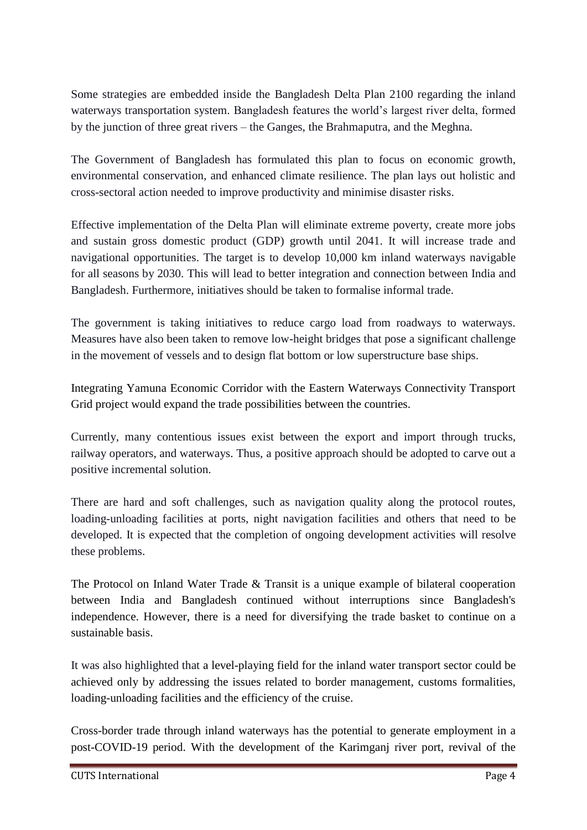Some strategies are embedded inside the Bangladesh Delta Plan 2100 regarding the inland waterways transportation system. Bangladesh features the world's largest river delta, formed by the junction of three great rivers – the Ganges, the Brahmaputra, and the Meghna.

The Government of Bangladesh has formulated this plan to focus on economic growth, environmental conservation, and enhanced climate resilience. The plan lays out holistic and cross-sectoral action needed to improve productivity and minimise disaster risks.

[Effective implementation of the Delta Plan will eliminate extreme poverty, create more jobs](https://twitter.com/intent/tweet?text=Effective+implementation+of+the+Delta+Plan+will+eliminate+extreme+poverty%2C+create+more+jobs+and+sustain+GDP+growth+above+8%25+until+2041.+It+will+increase+trade+and+navigational+opportunities+and+strengthen+food+security.&url=https://blogs.worldbank.org/endpovertyinsouthasia/implementing-bangladesh-delta-plan-2100-key-boost-economic-growth/?cid=SHR_BlogSiteTweetable_EN_EXT&via=worldbank) [and sustain gross domestic product \(GDP\)](https://twitter.com/intent/tweet?text=Effective+implementation+of+the+Delta+Plan+will+eliminate+extreme+poverty%2C+create+more+jobs+and+sustain+GDP+growth+above+8%25+until+2041.+It+will+increase+trade+and+navigational+opportunities+and+strengthen+food+security.&url=https://blogs.worldbank.org/endpovertyinsouthasia/implementing-bangladesh-delta-plan-2100-key-boost-economic-growth/?cid=SHR_BlogSiteTweetable_EN_EXT&via=worldbank) growth until 2041. It will increase trade and [navigational opportunities.](https://twitter.com/intent/tweet?text=Effective+implementation+of+the+Delta+Plan+will+eliminate+extreme+poverty%2C+create+more+jobs+and+sustain+GDP+growth+above+8%25+until+2041.+It+will+increase+trade+and+navigational+opportunities+and+strengthen+food+security.&url=https://blogs.worldbank.org/endpovertyinsouthasia/implementing-bangladesh-delta-plan-2100-key-boost-economic-growth/?cid=SHR_BlogSiteTweetable_EN_EXT&via=worldbank) The target is to develop 10,000 km inland waterways navigable for all seasons by 2030. This will lead to better integration and connection between India and Bangladesh. Furthermore, initiatives should be taken to formalise informal trade.

The government is taking initiatives to reduce cargo load from roadways to waterways. Measures have also been taken to remove low-height bridges that pose a significant challenge in the movement of vessels and to design flat bottom or low superstructure base ships.

Integrating Yamuna Economic Corridor with the Eastern Waterways Connectivity Transport Grid project would expand the trade possibilities between the countries.

Currently, many contentious issues exist between the export and import through trucks, railway operators, and waterways. Thus, a positive approach should be adopted to carve out a positive incremental solution.

There are hard and soft challenges, such as navigation quality along the protocol routes, loading-unloading facilities at ports, night navigation facilities and others that need to be developed. It is expected that the completion of ongoing development activities will resolve these problems.

The Protocol on Inland Water Trade & Transit is a unique example of bilateral cooperation between India and Bangladesh continued without interruptions since Bangladesh's independence. However, there is a need for diversifying the trade basket to continue on a sustainable basis.

It was also highlighted that a level-playing field for the inland water transport sector could be achieved only by addressing the issues related to border management, customs formalities, loading-unloading facilities and the efficiency of the cruise.

Cross-border trade through inland waterways has the potential to generate employment in a post-COVID-19 period. With the development of the Karimganj river port, revival of the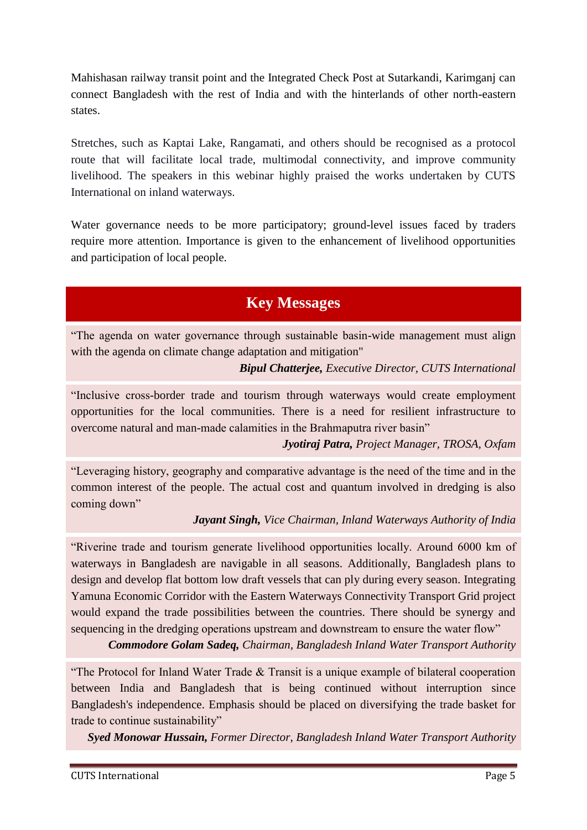Mahishasan railway transit point and the Integrated Check Post at Sutarkandi, Karimganj can connect Bangladesh with the rest of India and with the hinterlands of other north-eastern states.

Stretches, such as Kaptai Lake, Rangamati, and others should be recognised as a protocol route that will facilitate local trade, multimodal connectivity, and improve community livelihood. The speakers in this webinar highly praised the works undertaken by CUTS International on inland waterways.

Water governance needs to be more participatory; ground-level issues faced by traders require more attention. Importance is given to the enhancement of livelihood opportunities and participation of local people.

## **Key Messages**

"The agenda on water governance through sustainable basin-wide management must align with the agenda on climate change adaptation and mitigation"

*Bipul Chatterjee, Executive Director, CUTS International* 

"Inclusive cross-border trade and tourism through waterways would create employment opportunities for the local communities. There is a need for resilient infrastructure to overcome natural and man-made calamities in the Brahmaputra river basin"

*Jyotiraj Patra, Project Manager, TROSA, Oxfam*

"Leveraging history, geography and comparative advantage is the need of the time and in the common interest of the people. The actual cost and quantum involved in dredging is also coming down"

#### *Jayant Singh, Vice Chairman, Inland Waterways Authority of India*

"Riverine trade and tourism generate livelihood opportunities locally. Around 6000 km of waterways in Bangladesh are navigable in all seasons. Additionally, Bangladesh plans to design and develop flat bottom low draft vessels that can ply during every season. Integrating Yamuna Economic Corridor with the Eastern Waterways Connectivity Transport Grid project would expand the trade possibilities between the countries. There should be synergy and sequencing in the dredging operations upstream and downstream to ensure the water flow"

*Commodore Golam Sadeq, Chairman, Bangladesh Inland Water Transport Authority*

"The Protocol for Inland Water Trade  $\&$  Transit is a unique example of bilateral cooperation between India and Bangladesh that is being continued without interruption since Bangladesh's independence. Emphasis should be placed on diversifying the trade basket for trade to continue sustainability"

*Syed Monowar Hussain, Former Director, Bangladesh Inland Water Transport Authority*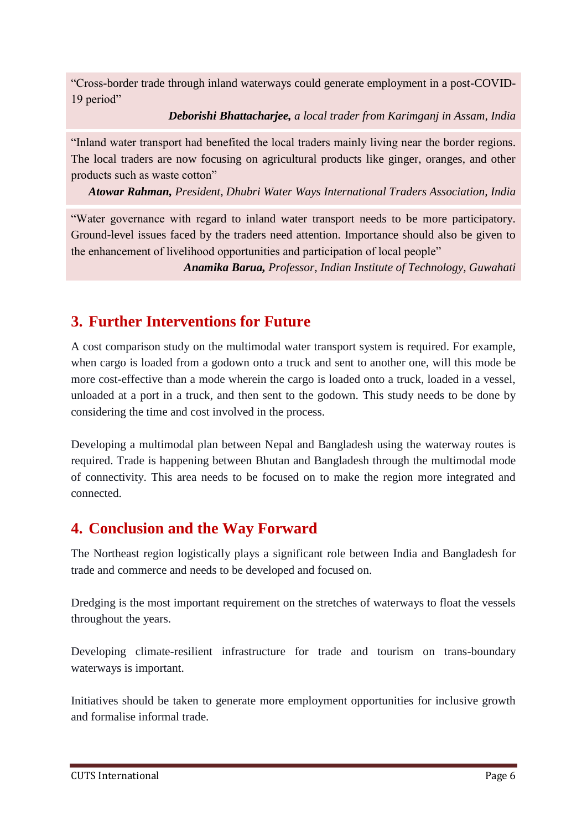"Cross-border trade through inland waterways could generate employment in a post-COVID-19 period"

#### *Deborishi Bhattacharjee, a local trader from Karimganj in Assam, India*

"Inland water transport had benefited the local traders mainly living near the border regions. The local traders are now focusing on agricultural products like ginger, oranges, and other products such as waste cotton"

*Atowar Rahman, President, Dhubri Water Ways International Traders Association, India*

"Water governance with regard to inland water transport needs to be more participatory. Ground-level issues faced by the traders need attention. Importance should also be given to the enhancement of livelihood opportunities and participation of local people"

*Anamika Barua, Professor, Indian Institute of Technology, Guwahati* 

## **3. Further Interventions for Future**

A cost comparison study on the multimodal water transport system is required. For example, when cargo is loaded from a godown onto a truck and sent to another one, will this mode be more cost-effective than a mode wherein the cargo is loaded onto a truck, loaded in a vessel, unloaded at a port in a truck, and then sent to the godown. This study needs to be done by considering the time and cost involved in the process.

Developing a multimodal plan between Nepal and Bangladesh using the waterway routes is required. Trade is happening between Bhutan and Bangladesh through the multimodal mode of connectivity. This area needs to be focused on to make the region more integrated and connected.

## **4. Conclusion and the Way Forward**

The Northeast region logistically plays a significant role between India and Bangladesh for trade and commerce and needs to be developed and focused on.

Dredging is the most important requirement on the stretches of waterways to float the vessels throughout the years.

Developing climate-resilient infrastructure for trade and tourism on trans-boundary waterways is important.

Initiatives should be taken to generate more employment opportunities for inclusive growth and formalise informal trade.